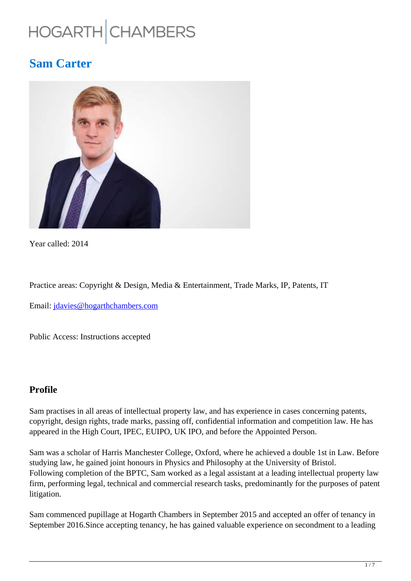# **HOGARTH CHAMBERS**

# **Sam Carter**



Year called: 2014

Practice areas: Copyright & Design, Media & Entertainment, Trade Marks, IP, Patents, IT

Email: jdavies@hogarthchambers.com

Public Access: Instructions accepted

### **Profile**

Sam practises in all areas of intellectual property law, and has experience in cases concerning patents, copyright, design rights, trade marks, passing off, confidential information and competition law. He has appeared in the High Court, IPEC, EUIPO, UK IPO, and before the Appointed Person.

Sam was a scholar of Harris Manchester College, Oxford, where he achieved a double 1st in Law. Before studying law, he gained joint honours in Physics and Philosophy at the University of Bristol. Following completion of the BPTC, Sam worked as a legal assistant at a leading intellectual property law firm, performing legal, technical and commercial research tasks, predominantly for the purposes of patent litigation.

Sam commenced pupillage at Hogarth Chambers in September 2015 and accepted an offer of tenancy in September 2016.Since accepting tenancy, he has gained valuable experience on secondment to a leading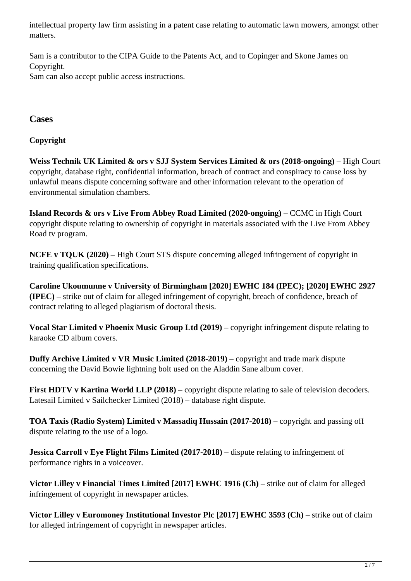intellectual property law firm assisting in a patent case relating to automatic lawn mowers, amongst other matters.

Sam is a contributor to the CIPA Guide to the Patents Act, and to Copinger and Skone James on Copyright.

Sam can also accept public access instructions.

# **Cases**

# **Copyright**

**Weiss Technik UK Limited & ors v SJJ System Services Limited & ors (2018-ongoing)** – High Court copyright, database right, confidential information, breach of contract and conspiracy to cause loss by unlawful means dispute concerning software and other information relevant to the operation of environmental simulation chambers.

**Island Records & ors v Live From Abbey Road Limited (2020-ongoing)** – CCMC in High Court copyright dispute relating to ownership of copyright in materials associated with the Live From Abbey Road tv program.

**NCFE v TQUK (2020)** – High Court STS dispute concerning alleged infringement of copyright in training qualification specifications.

**Caroline Ukoumunne v University of Birmingham [2020] EWHC 184 (IPEC); [2020] EWHC 2927 (IPEC)** – strike out of claim for alleged infringement of copyright, breach of confidence, breach of contract relating to alleged plagiarism of doctoral thesis.

**Vocal Star Limited v Phoenix Music Group Ltd (2019)** – copyright infringement dispute relating to karaoke CD album covers.

**Duffy Archive Limited v VR Music Limited (2018-2019)** – copyright and trade mark dispute concerning the David Bowie lightning bolt used on the Aladdin Sane album cover.

**First HDTV v Kartina World LLP (2018)** – copyright dispute relating to sale of television decoders. Latesail Limited v Sailchecker Limited (2018) – database right dispute.

**TOA Taxis (Radio System) Limited v Massadiq Hussain (2017-2018)** – copyright and passing off dispute relating to the use of a logo.

**Jessica Carroll v Eye Flight Films Limited (2017-2018)** – dispute relating to infringement of performance rights in a voiceover.

**Victor Lilley v Financial Times Limited [2017] EWHC 1916 (Ch) – strike out of claim for alleged** infringement of copyright in newspaper articles.

**Victor Lilley v Euromoney Institutional Investor Plc [2017] EWHC 3593 (Ch) – strike out of claim** for alleged infringement of copyright in newspaper articles.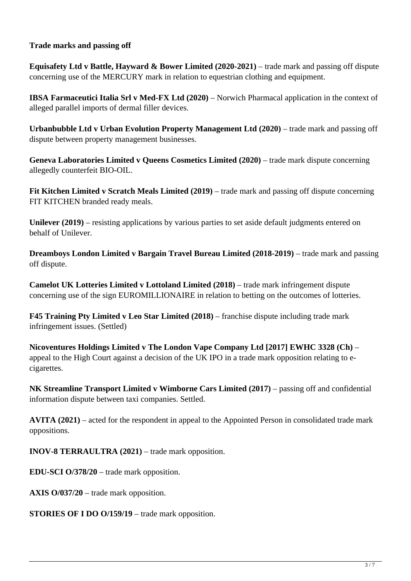#### **Trade marks and passing off**

**Equisafety Ltd v Battle, Hayward & Bower Limited (2020-2021)** – trade mark and passing off dispute concerning use of the MERCURY mark in relation to equestrian clothing and equipment.

**IBSA Farmaceutici Italia Srl v Med-FX Ltd (2020)** – Norwich Pharmacal application in the context of alleged parallel imports of dermal filler devices.

**Urbanbubble Ltd v Urban Evolution Property Management Ltd (2020)** – trade mark and passing off dispute between property management businesses.

Geneva Laboratories Limited v Queens Cosmetics Limited (2020) – trade mark dispute concerning allegedly counterfeit BIO-OIL.

**Fit Kitchen Limited v Scratch Meals Limited (2019)** – trade mark and passing off dispute concerning FIT KITCHEN branded ready meals.

**Unilever (2019)** – resisting applications by various parties to set aside default judgments entered on behalf of Unilever.

**Dreamboys London Limited v Bargain Travel Bureau Limited (2018-2019)** – trade mark and passing off dispute.

**Camelot UK Lotteries Limited v Lottoland Limited (2018)** – trade mark infringement dispute concerning use of the sign EUROMILLIONAIRE in relation to betting on the outcomes of lotteries.

**F45 Training Pty Limited v Leo Star Limited (2018)** – franchise dispute including trade mark infringement issues. (Settled)

**Nicoventures Holdings Limited v The London Vape Company Ltd [2017] EWHC 3328 (Ch)** – appeal to the High Court against a decision of the UK IPO in a trade mark opposition relating to ecigarettes.

**NK Streamline Transport Limited v Wimborne Cars Limited (2017)** – passing off and confidential information dispute between taxi companies. Settled.

**AVITA (2021)** – acted for the respondent in appeal to the Appointed Person in consolidated trade mark oppositions.

**INOV-8 TERRAULTRA (2021)** – trade mark opposition.

**EDU-SCI O/378/20** – trade mark opposition.

**AXIS O/037/20** – trade mark opposition.

**STORIES OF I DO O/159/19** – trade mark opposition.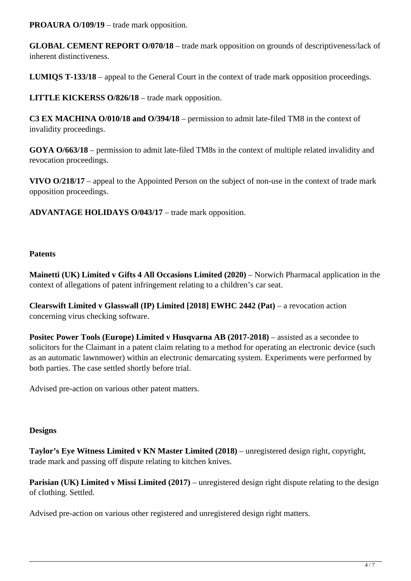**PROAURA O/109/19** – trade mark opposition.

**GLOBAL CEMENT REPORT O/070/18** – trade mark opposition on grounds of descriptiveness/lack of inherent distinctiveness.

**LUMIQS T-133/18** – appeal to the General Court in the context of trade mark opposition proceedings.

LITTLE KICKERSS O/826/18 – trade mark opposition.

**C3 EX MACHINA O/010/18 and O/394/18** – permission to admit late-filed TM8 in the context of invalidity proceedings.

**GOYA O/663/18** – permission to admit late-filed TM8s in the context of multiple related invalidity and revocation proceedings.

**VIVO O/218/17** – appeal to the Appointed Person on the subject of non-use in the context of trade mark opposition proceedings.

**ADVANTAGE HOLIDAYS O/043/17** – trade mark opposition.

#### **Patents**

**Mainetti (UK) Limited v Gifts 4 All Occasions Limited (2020)** – Norwich Pharmacal application in the context of allegations of patent infringement relating to a children's car seat.

**Clearswift Limited v Glasswall (IP) Limited [2018] EWHC 2442 (Pat) – a revocation action** concerning virus checking software.

**Positec Power Tools (Europe) Limited v Husqvarna AB (2017-2018) – assisted as a secondee to** solicitors for the Claimant in a patent claim relating to a method for operating an electronic device (such as an automatic lawnmower) within an electronic demarcating system. Experiments were performed by both parties. The case settled shortly before trial.

Advised pre-action on various other patent matters.

#### **Designs**

**Taylor's Eye Witness Limited v KN Master Limited (2018)** – unregistered design right, copyright, trade mark and passing off dispute relating to kitchen knives.

**Parisian (UK) Limited v Missi Limited (2017)** – unregistered design right dispute relating to the design of clothing. Settled.

Advised pre-action on various other registered and unregistered design right matters.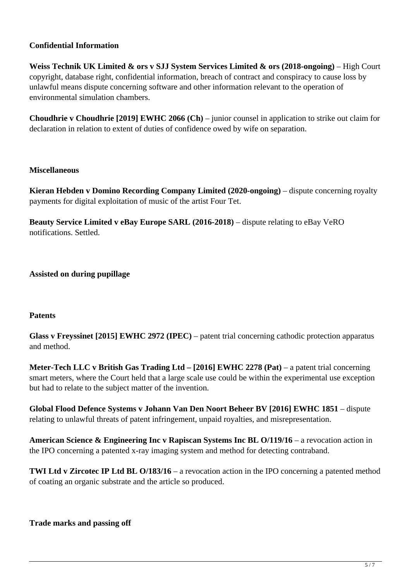#### **Confidential Information**

**Weiss Technik UK Limited & ors v SJJ System Services Limited & ors (2018-ongoing)** – High Court copyright, database right, confidential information, breach of contract and conspiracy to cause loss by unlawful means dispute concerning software and other information relevant to the operation of environmental simulation chambers.

**Choudhrie v Choudhrie [2019] EWHC 2066 (Ch)** – junior counsel in application to strike out claim for declaration in relation to extent of duties of confidence owed by wife on separation.

#### **Miscellaneous**

**Kieran Hebden v Domino Recording Company Limited (2020-ongoing)** – dispute concerning royalty payments for digital exploitation of music of the artist Four Tet.

**Beauty Service Limited v eBay Europe SARL (2016-2018)** – dispute relating to eBay VeRO notifications. Settled.

**Assisted on during pupillage**

#### **Patents**

**Glass v Freyssinet [2015] EWHC 2972 (IPEC)** – patent trial concerning cathodic protection apparatus and method.

**Meter-Tech LLC v British Gas Trading Ltd – [2016] EWHC 2278 (Pat)** – a patent trial concerning smart meters, where the Court held that a large scale use could be within the experimental use exception but had to relate to the subject matter of the invention.

Global Flood Defence Systems v Johann Van Den Noort Beheer BV [2016] EWHC 1851 – dispute relating to unlawful threats of patent infringement, unpaid royalties, and misrepresentation.

**American Science & Engineering Inc v Rapiscan Systems Inc BL O/119/16** – a revocation action in the IPO concerning a patented x-ray imaging system and method for detecting contraband.

**TWI Ltd v Zircotec IP Ltd BL O/183/16** – a revocation action in the IPO concerning a patented method of coating an organic substrate and the article so produced.

**Trade marks and passing off**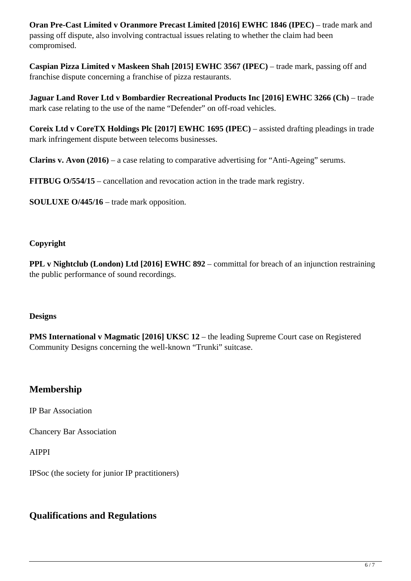**Oran Pre-Cast Limited v Oranmore Precast Limited [2016] EWHC 1846 (IPEC) – trade mark and** passing off dispute, also involving contractual issues relating to whether the claim had been compromised.

**Caspian Pizza Limited v Maskeen Shah [2015] EWHC 3567 (IPEC)** – trade mark, passing off and franchise dispute concerning a franchise of pizza restaurants.

**Jaguar Land Rover Ltd v Bombardier Recreational Products Inc [2016] EWHC 3266 (Ch) – trade** mark case relating to the use of the name "Defender" on off-road vehicles.

**Coreix Ltd v CoreTX Holdings Plc [2017] EWHC 1695 (IPEC)** – assisted drafting pleadings in trade mark infringement dispute between telecoms businesses.

**Clarins v. Avon (2016)** – a case relating to comparative advertising for "Anti-Ageing" serums.

**FITBUG O/554/15** – cancellation and revocation action in the trade mark registry.

**SOULUXE O/445/16** – trade mark opposition.

#### **Copyright**

**PPL v Nightclub (London) Ltd [2016] EWHC 892** – committal for breach of an injunction restraining the public performance of sound recordings.

#### **Designs**

**PMS International v Magmatic [2016] UKSC 12 – the leading Supreme Court case on Registered** Community Designs concerning the well-known "Trunki" suitcase.

### **Membership**

IP Bar Association

Chancery Bar Association

AIPPI

IPSoc (the society for junior IP practitioners)

### **Qualifications and Regulations**